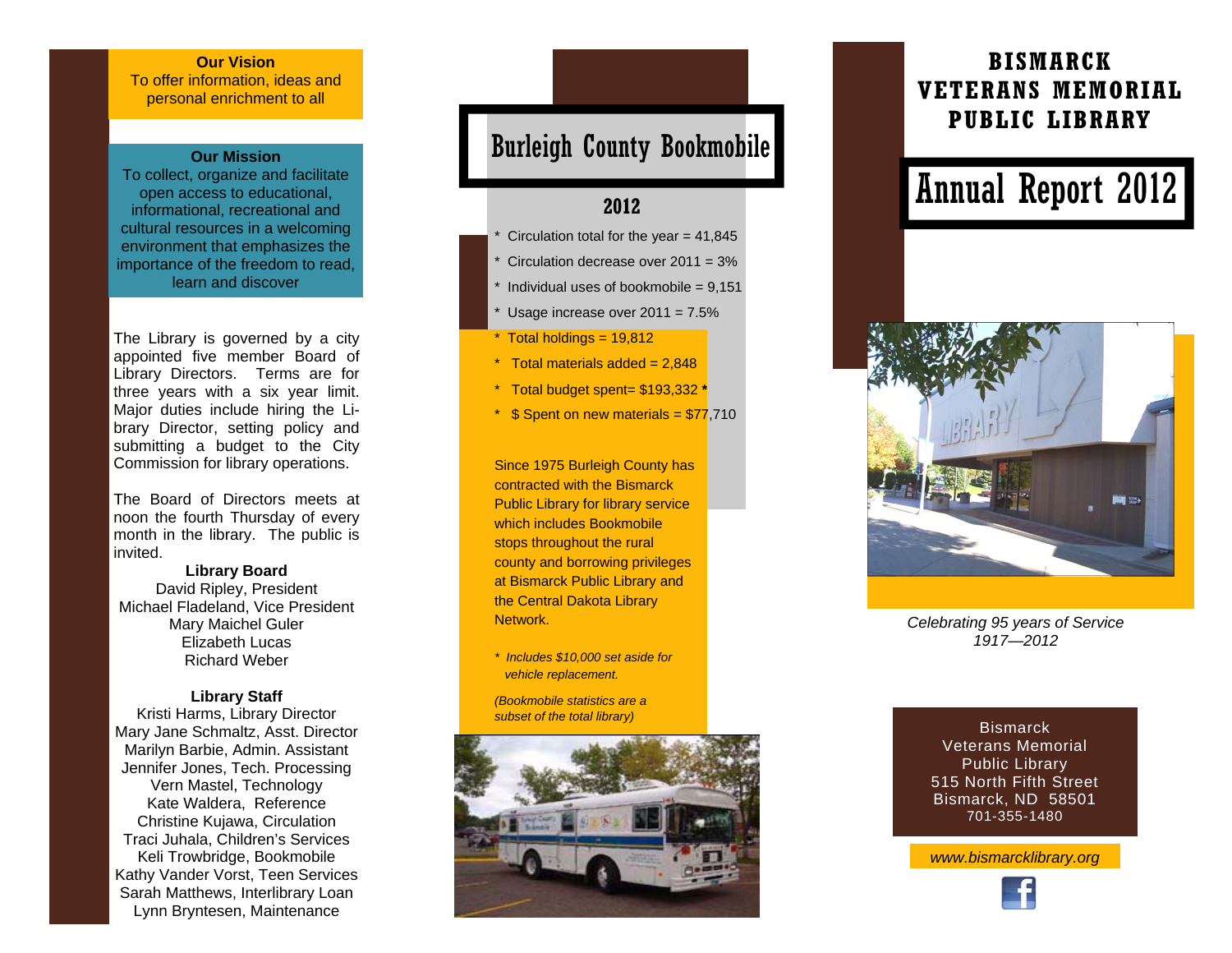#### **Our Vision**

To offer information, ideas and personal enrichment to all

#### **Our Mission**

To collect, organize and facilitate open access to educational, informational, recreational and cultural resources in a welcoming environment that emphasizes the importance of the freedom to read, learn and discover

The Library is governed by a city appointed five member Board of Library Directors. Terms are for three years with a six year limit. Major duties include hiring the Library Director, setting policy and submitting a budget to the City Commission for library operations.

The Board of Directors meets at noon the fourth Thursday of every month in the library. The public is invited.

**Library Board**  David Ripley, President Michael Fladeland, Vice President Mary Maichel Guler Elizabeth Lucas Richard Weber

#### **Library Staff**

Kristi Harms, Library Director Mary Jane Schmaltz, Asst. Director Marilyn Barbie, Admin. Assistant Jennifer Jones, Tech. Processing Vern Mastel, Technology Kate Waldera, Reference Christine Kujawa, Circulation Traci Juhala, Children's Services Keli Trowbridge, Bookmobile Kathy Vander Vorst, Teen Services Sarah Matthews, Interlibrary Loan Lynn Bryntesen, Maintenance

## Burleigh County Bookmobile

### **2012**

- Circulation total for the year  $= 41,845$
- Circulation decrease over  $2011 = 3%$
- Individual uses of bookmobile =  $9,151$
- Usage increase over  $2011 = 7.5\%$
- $*$  Total holdings = 19,812
- $*$  Total materials added = 2.848
- \* Total budget spent= \$193,332 **\***
- $*$  \$ Spent on new materials = \$77,710

Since 1975 Burleigh County has contracted with the Bismarck Public Library for library service which includes Bookmobile stops throughout the rural county and borrowing privileges at Bismarck Public Library and the Central Dakota Library Network.

- *\* Includes \$10,000 set aside for vehicle replacement.*
- *(Bookmobile statistics are a subset of the total library)*



### **BISMARCK VETERANS MEMORIAL PUBLIC LIBRARY**

# Annual Report 2012



*Celebrating 95 years of Service 1917—2012* 

**Bismarck** Veterans Memorial Public Library 515 North Fifth Street Bismarck, ND 58501 701-355-1480

*www.bismarcklibrary.org*